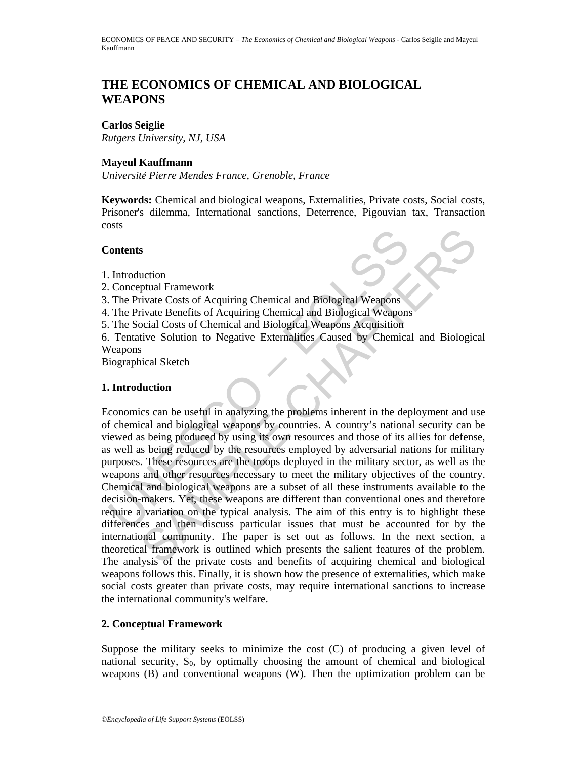# **THE ECONOMICS OF CHEMICAL AND BIOLOGICAL WEAPONS**

#### **Carlos Seiglie**

*Rutgers University, NJ, USA* 

#### **Mayeul Kauffmann**

*Université Pierre Mendes France, Grenoble, France* 

**Keywords:** Chemical and biological weapons, Externalities, Private costs, Social costs, Prisoner's dilemma, International sanctions, Deterrence, Pigouvian tax, Transaction costs

## **Contents**

- 1. Introduction
- 2. Conceptual Framework
- 3. The Private Costs of Acquiring Chemical and Biological Weapons
- 4. The Private Benefits of Acquiring Chemical and Biological Weapons
- 5. The Social Costs of Chemical and Biological Weapons Acquisition

6. Tentative Solution to Negative Externalities Caused by Chemical and Biological Weapons

Biographical Sketch

## **1. Introduction**

Conceptual Framework<br>
Introduction<br>
Conceptual Framework<br>
The Private Costs of Acquiring Chemical and Biological Weapons<br>
The Social Costs of Acquiring Chemical and Biological Weapons<br>
The Social Costs of Chemical and Biol S<br>
Soution<br>
prual Framework<br>
sivate Costs of Acquiring Chemical and Biological Weapons<br>
sivate Benefits of Acquiring Chemical and Biological Weapons<br>
social Costs of Chemical and Biological Weapons<br>
Acquisition<br>
tive Solut Economics can be useful in analyzing the problems inherent in the deployment and use of chemical and biological weapons by countries. A country's national security can be viewed as being produced by using its own resources and those of its allies for defense, as well as being reduced by the resources employed by adversarial nations for military purposes. These resources are the troops deployed in the military sector, as well as the weapons and other resources necessary to meet the military objectives of the country. Chemical and biological weapons are a subset of all these instruments available to the decision-makers. Yet, these weapons are different than conventional ones and therefore require a variation on the typical analysis. The aim of this entry is to highlight these differences and then discuss particular issues that must be accounted for by the international community. The paper is set out as follows. In the next section, a theoretical framework is outlined which presents the salient features of the problem. The analysis of the private costs and benefits of acquiring chemical and biological weapons follows this. Finally, it is shown how the presence of externalities, which make social costs greater than private costs, may require international sanctions to increase the international community's welfare.

## **2. Conceptual Framework**

Suppose the military seeks to minimize the cost (C) of producing a given level of national security,  $S_0$ , by optimally choosing the amount of chemical and biological weapons (B) and conventional weapons (W). Then the optimization problem can be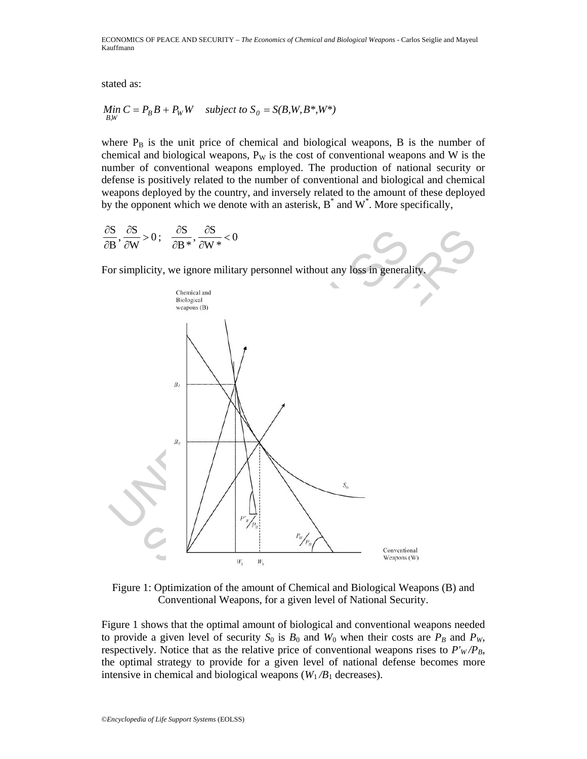stated as:

$$
\underset{BW}{Min} C = P_B B + P_W W \quad subject \ to \ S_0 = S(B, W, B^*, W^*)
$$

where  $P_B$  is the unit price of chemical and biological weapons, B is the number of chemical and biological weapons,  $P_W$  is the cost of conventional weapons and W is the number of conventional weapons employed. The production of national security or defense is positively related to the number of conventional and biological and chemical weapons deployed by the country, and inversely related to the amount of these deployed by the opponent which we denote with an asterisk,  $B^*$  and  $W^*$ . More specifically,

$$
\frac{\partial S}{\partial B}, \frac{\partial S}{\partial W} > 0; \quad \frac{\partial S}{\partial B^*}, \frac{\partial S}{\partial W^*} < 0
$$

For simplicity, we ignore military personnel without any loss in generality.





Figure 1 shows that the optimal amount of biological and conventional weapons needed to provide a given level of security  $S_0$  is  $B_0$  and  $W_0$  when their costs are  $P_B$  and  $P_W$ , respectively. Notice that as the relative price of conventional weapons rises to  $P'_{W}/P_{B}$ , the optimal strategy to provide for a given level of national defense becomes more intensive in chemical and biological weapons  $(W_1/B_1)$  decreases).